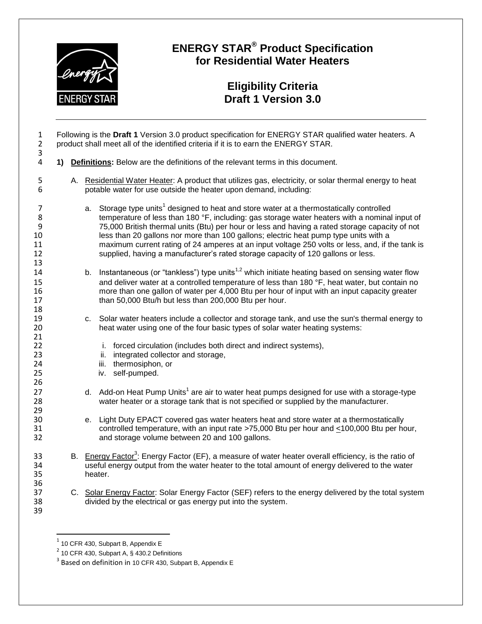

## **ENERGY STAR® Product Specification for Residential Water Heaters**

## <span id="page-0-0"></span>**Eligibility Criteria Draft 1 Version 3.0**

| $\mathbf{1}$<br>$\overline{2}$<br>3              |    | Following is the Draft 1 Version 3.0 product specification for ENERGY STAR qualified water heaters. A<br>product shall meet all of the identified criteria if it is to earn the ENERGY STAR.                                                                                                                                                                                                                                                                                                                                                                                              |  |  |
|--------------------------------------------------|----|-------------------------------------------------------------------------------------------------------------------------------------------------------------------------------------------------------------------------------------------------------------------------------------------------------------------------------------------------------------------------------------------------------------------------------------------------------------------------------------------------------------------------------------------------------------------------------------------|--|--|
| $\overline{4}$                                   | 1) | Definitions: Below are the definitions of the relevant terms in this document.                                                                                                                                                                                                                                                                                                                                                                                                                                                                                                            |  |  |
| 5<br>6                                           |    | A. Residential Water Heater: A product that utilizes gas, electricity, or solar thermal energy to heat<br>potable water for use outside the heater upon demand, including:                                                                                                                                                                                                                                                                                                                                                                                                                |  |  |
| $\overline{7}$<br>8<br>9<br>10<br>11<br>12<br>13 |    | Storage type units <sup>1</sup> designed to heat and store water at a thermostatically controlled<br>a.<br>temperature of less than 180 °F, including: gas storage water heaters with a nominal input of<br>75,000 British thermal units (Btu) per hour or less and having a rated storage capacity of not<br>less than 20 gallons nor more than 100 gallons; electric heat pump type units with a<br>maximum current rating of 24 amperes at an input voltage 250 volts or less, and, if the tank is<br>supplied, having a manufacturer's rated storage capacity of 120 gallons or less. |  |  |
| 14<br>15<br>16<br>17<br>18                       |    | Instantaneous (or "tankless") type units <sup>1,2</sup> which initiate heating based on sensing water flow<br>b.<br>and deliver water at a controlled temperature of less than 180 °F, heat water, but contain no<br>more than one gallon of water per 4,000 Btu per hour of input with an input capacity greater<br>than 50,000 Btu/h but less than 200,000 Btu per hour.                                                                                                                                                                                                                |  |  |
| 19<br>20<br>21                                   |    | c. Solar water heaters include a collector and storage tank, and use the sun's thermal energy to<br>heat water using one of the four basic types of solar water heating systems:                                                                                                                                                                                                                                                                                                                                                                                                          |  |  |
| 22<br>23<br>24<br>25<br>26                       |    | i. forced circulation (includes both direct and indirect systems),<br>ii. integrated collector and storage,<br>iii. thermosiphon, or<br>iv. self-pumped.                                                                                                                                                                                                                                                                                                                                                                                                                                  |  |  |
| 27<br>28<br>29                                   |    | d. Add-on Heat Pump Units <sup>1</sup> are air to water heat pumps designed for use with a storage-type<br>water heater or a storage tank that is not specified or supplied by the manufacturer.                                                                                                                                                                                                                                                                                                                                                                                          |  |  |
| 30<br>31<br>32                                   |    | e. Light Duty EPACT covered gas water heaters heat and store water at a thermostatically<br>controlled temperature, with an input rate >75,000 Btu per hour and $\leq$ 100,000 Btu per hour,<br>and storage volume between 20 and 100 gallons.                                                                                                                                                                                                                                                                                                                                            |  |  |
| 33<br>34<br>35<br>36                             |    | B. Energy Factor <sup>3</sup> : Energy Factor (EF), a measure of water heater overall efficiency, is the ratio of<br>useful energy output from the water heater to the total amount of energy delivered to the water<br>heater.                                                                                                                                                                                                                                                                                                                                                           |  |  |
| 37<br>38<br>39                                   |    | C. Solar Energy Factor: Solar Energy Factor (SEF) refers to the energy delivered by the total system<br>divided by the electrical or gas energy put into the system.                                                                                                                                                                                                                                                                                                                                                                                                                      |  |  |

<sup>1&</sup>lt;br>
<sup>1</sup> 10 CFR 430, Subpart B, Appendix E<br>
<sup>2</sup> 10 CFR 430, Subpart A, § 430.2 Definitions<br>
<sup>3</sup> Based on definition in 10 CFR 430, Subpart B, Appendix E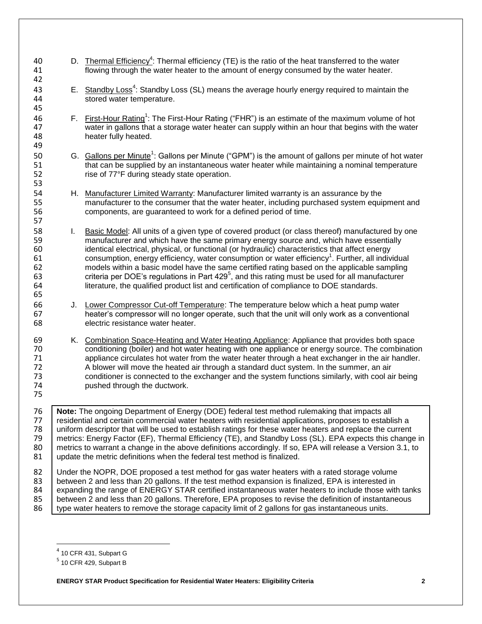- <span id="page-1-0"></span>40 D. Thermal Efficiency<sup>4</sup>: Thermal efficiency (TE) is the ratio of the heat transferred to the water 41 flowing through the water heater to the amount of energy consumed by the water heater.
- 43 E. Standby Lo[s](#page-1-0)s<sup>4</sup>: Standby Loss (SL) means the average hourly energy required to maintain the 44 stored water temperature.
- 46 F. First-Hour Rating<sup>1</sup>[:](#page-0-0) The First-Hour Rating ("FHR") is an estimate of the maximum volume of hot 47 water in gallons that a storage water heater can supply within an hour that begins with the water<br>48 heater fully heated. heater fully heated.
- 50 G. Gallons per Minute<sup>1</sup>[:](#page-0-0) Gallons per Minute ("GPM") is the amount of gallons per minute of hot water 51 that can be supplied by an instantaneous water heater while maintaining a nominal temperature rise of  $77^{\circ}$ F during steady state operation. rise of 77°F during steady state operation.
- 54 H. Manufacturer Limited Warranty: Manufacturer limited warranty is an assurance by the 55 manufacturer to the consumer that the water heater, including purchased system equipment and<br>56 components, are quaranteed to work for a defined period of time. components, are guaranteed to work for a defined period of time.
- 58 I. Basic Model: All units of a given type of covered product (or class thereof) manufactured by one<br>59 manufacturer and which have the same primary energy source and, which have essentially manufacturer and which have the same primary energy source and, which have essentially 60 identical electrical, physical, or functional (or hydraulic) characteristics that affect energy 61 consumption, energy efficiency, water consumption or water efficiency<sup>1</sup>[.](#page-0-0) Further, all individual 62 models within a basic model have the same certified rating based on the applicable sampling 63 criteria per DOE's regulations in Part 429<sup>5</sup>, and this rating must be used for all manufacturer 64 literature, the qualified product list and certification of compliance to DOE standards.
- 66 J. Lower Compressor Cut-off Temperature: The temperature below which a heat pump water 67 heater's compressor will no longer operate, such that the unit will only work as a conventional 68 electric resistance water heater.
- 69 K. Combination Space-Heating and Water Heating Appliance: Appliance that provides both space 70 conditioning (boiler) and hot water heating with one appliance or energy source. The combination 71 appliance circulates hot water from the water heater through a heat exchanger in the air handler. 72 A blower will move the heated air through a standard duct system. In the summer, an air 73 conditioner is connected to the exchanger and the system functions similarly, with cool air being pushed through the ductwork. 75

76 **Note:** The ongoing Department of Energy (DOE) federal test method rulemaking that impacts all 77 residential and certain commercial water heaters with residential applications, proposes to establish a<br>78 uniform descriptor that will be used to establish ratings for these water heaters and replace the current 78 uniform descriptor that will be used to establish ratings for these water heaters and replace the current 79 metrics: Energy Factor (EF). Thermal Efficiency (TE), and Standby Loss (SL), EPA expects this change 79 metrics: Energy Factor (EF), Thermal Efficiency (TE), and Standby Loss (SL). EPA expects this change in<br>80 metrics to warrant a change in the above definitions accordingly. If so. EPA will release a Version 3.1, to metrics to warrant a change in the above definitions accordingly. If so, EPA will release a Version 3.1, to 81 update the metric definitions when the federal test method is finalized.

82 Under the NOPR, DOE proposed a test method for gas water heaters with a rated storage volume<br>83 between 2 and less than 20 gallons. If the test method expansion is finalized, EPA is interested in 83 between 2 and less than 20 gallons. If the test method expansion is finalized, EPA is interested in expanding the range of ENERGY STAR certified instantaneous water heaters to include those with expanding the range of ENERGY STAR certified instantaneous water heaters to include those with tanks 85 between 2 and less than 20 gallons. Therefore, EPA proposes to revise the definition of instantaneous 86 type water heaters to remove the storage capacity limit of 2 gallons for gas instantaneous units.

l

42

45

49

53

57

65

 $<sup>4</sup>$  10 CFR 431, Subpart G</sup>

 $<sup>5</sup>$  10 CFR 429, Subpart B</sup>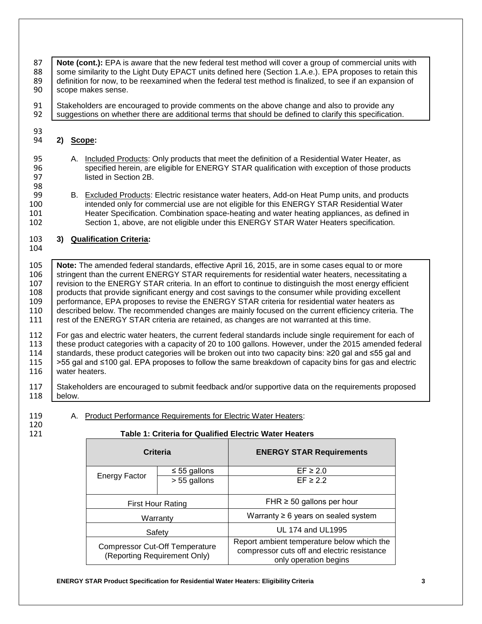87 **Note (cont.):** EPA is aware that the new federal test method will cover a group of commercial units with 88 some similarity to the Light Duty FPACT units defined here (Section 1 A e ) FPA proposes to retain this some similarity to the Light Duty EPACT units defined here (Section 1.A.e.). EPA proposes to retain this 89 definition for now, to be reexamined when the federal test method is finalized, to see if an expansion of 80<br>90 scope makes sense. scope makes sense. 91 Stakeholders are encouraged to provide comments on the above change and also to provide any 92 Suggestions on whether there are additional terms that should be defined to clarify this specification. 93<br>94 94 **2) Scope:** 95 A. Included Products: Only products that meet the definition of a Residential Water Heater, as<br>96 Specified herein, are eligible for ENERGY STAR qualification with exception of those produc 96 specified herein, are eligible for ENERGY STAR qualification with exception of those products<br>97 stated in Section 2B. listed in Section 2B. 98<br>99 99 B. Excluded Products: Electric resistance water heaters, Add-on Heat Pump units, and products<br>100 intended only for commercial use are not eligible for this ENERGY STAR Residential Water intended only for commercial use are not eligible for this ENERGY STAR Residential Water 101 **Heater Specification. Combination space-heating and water heating appliances, as defined in**<br>102 Section 1. above, are not eligible under this ENERGY STAR Water Heaters specification. Section 1, above, are not eligible under this ENERGY STAR Water Heaters specification. 103 **3) Qualification Criteria:** 104 105 **Note:** The amended federal standards, effective April 16, 2015, are in some cases equal to or more 106 stringent than the current ENERGY STAR requirements for residential water heaters, necessitating a 106 stringent than the current ENERGY STAR requirements for residential water heaters, necessitating a<br>107 revision to the ENERGY STAR criteria. In an effort to continue to distinguish the most energy efficient revision to the ENERGY STAR criteria. In an effort to continue to distinguish the most energy efficient 108 products that provide significant energy and cost savings to the consumer while providing excellent 109 | performance, EPA proposes to revise the ENERGY STAR criteria for residential water heaters as 110 described below. The recommended changes are mainly focused on the current efficiency criteria. The 111 Frest of the ENERGY STAR criteria are retained, as changes are not warranted at this time. 112 For gas and electric water heaters, the current federal standards include single requirement for each of 1<br>113 I these product categories with a capacity of 20 to 100 gallons. However, under the 2015 amended feder 113 these product categories with a capacity of 20 to 100 gallons. However, under the 2015 amended federal standards, these product categories will be broken out into two capacity bins:  $\geq$ 20 gal and  $\leq$ 55 gal and 114 standards, these product categories will be broken out into two capacity bins: ≥20 gal and ≤55 gal and ≤100 gal. EPA proposes to follow the same breakdown of capacity bins for gas and electric 115 >55 gal and ≤100 gal. EPA proposes to follow the same breakdown of capacity bins for gas and electric water heaters. 117 Stakeholders are encouraged to submit feedback and/or supportive data on the requirements proposed<br>118 below.

- below.
- 119 A. Product Performance Requirements for Electric Water Heaters:
- 120<br>121

#### 121 **Table 1: Criteria for Qualified Electric Water Heaters**

|                                                                       | Criteria          | <b>ENERGY STAR Requirements</b>                                                                                    |
|-----------------------------------------------------------------------|-------------------|--------------------------------------------------------------------------------------------------------------------|
|                                                                       | $\leq 55$ gallons | $EF \geq 2.0$                                                                                                      |
| Energy Factor                                                         | > 55 gallons      | $FF \geq 2.2$                                                                                                      |
| <b>First Hour Rating</b>                                              |                   | FHR $\geq$ 50 gallons per hour                                                                                     |
|                                                                       | Warranty          | Warranty $\geq 6$ years on sealed system                                                                           |
|                                                                       | Safety            | UL 174 and UL1995                                                                                                  |
| <b>Compressor Cut-Off Temperature</b><br>(Reporting Requirement Only) |                   | Report ambient temperature below which the<br>compressor cuts off and electric resistance<br>only operation begins |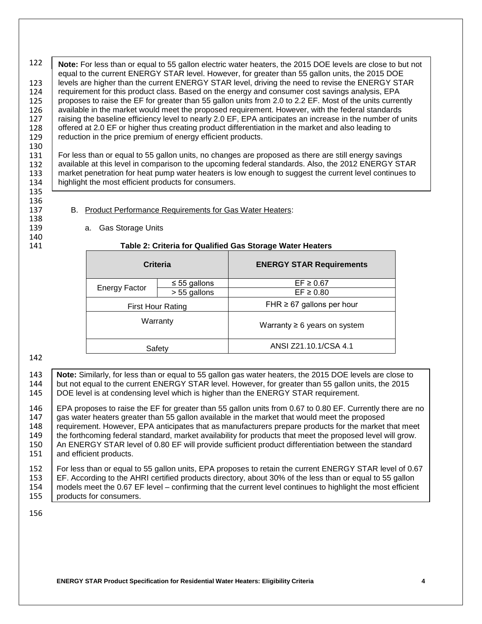122 123 124 125 126 127 128 129 130 **Note:** For less than or equal to 55 gallon electric water heaters, the 2015 DOE levels are close to but not equal to the current ENERGY STAR level. However, for greater than 55 gallon units, the 2015 DOE levels are higher than the current ENERGY STAR level, driving the need to revise the ENERGY STAR requirement for this product class. Based on the energy and consumer cost savings analysis, EPA proposes to raise the EF for greater than 55 gallon units from 2.0 to 2.2 EF. Most of the units currently available in the market would meet the proposed requirement. However, with the federal standards raising the baseline efficiency level to nearly 2.0 EF, EPA anticipates an increase in the number of units offered at 2.0 EF or higher thus creating product differentiation in the market and also leading to reduction in the price premium of energy efficient products.

131 132 133 134 For less than or equal to 55 gallon units, no changes are proposed as there are still energy savings available at this level in comparison to the upcoming federal standards. Also, the 2012 ENERGY STAR market penetration for heat pump water heaters is low enough to suggest the current level continues to highlight the most efficient products for consumers.

- 137 B. Product Performance Requirements for Gas Water Heaters:
- 138<br>139

140<br>141

135 136

a. Gas Storage Units

#### 141 **Table 2: Criteria for Qualified Gas Storage Water Heaters**

|                          | Criteria          | <b>ENERGY STAR Requirements</b>   |
|--------------------------|-------------------|-----------------------------------|
|                          | $\leq$ 55 gallons | $EF \geq 0.67$                    |
| <b>Energy Factor</b>     | > 55 gallons      | $EF \geq 0.80$                    |
| <b>First Hour Rating</b> |                   | FHR $\geq$ 67 gallons per hour    |
| Warranty                 |                   | Warranty $\geq 6$ years on system |
|                          | Safety            | ANSI Z21.10.1/CSA 4.1             |

142

143 **Note:** Similarly, for less than or equal to 55 gallon gas water heaters, the 2015 DOE levels are close to 144 but not equal to the current ENERGY STAR level. However, for greater than 55 gallon units, the 2015 but not equal to the current ENERGY STAR level. However, for greater than 55 gallon units, the 2015 145 | DOE level is at condensing level which is higher than the ENERGY STAR requirement.

146 EPA proposes to raise the EF for greater than 55 gallon units from 0.67 to 0.80 EF. Currently there are no<br>147 aas water heaters greater than 55 gallon available in the market that would meet the proposed 147 gas water heaters greater than 55 gallon available in the market that would meet the proposed 148 requirement. However, EPA anticipates that as manufacturers prepare products for the market that meet<br>149 the forthcoming federal standard, market availability for products that meet the proposed level will grow, 149 the forthcoming federal standard, market availability for products that meet the proposed level will grow.<br>150 An ENERGY STAR level of 0.80 EF will provide sufficient product differentiation between the standard An ENERGY STAR level of 0.80 EF will provide sufficient product differentiation between the standard 151 and efficient products.

152 For less than or equal to 55 gallon units, EPA proposes to retain the current ENERGY STAR level of 0.67<br>153 EF. According to the AHRI certified products directory, about 30% of the less than or equal to 55 gallon 153 EF. According to the AHRI certified products directory, about 30% of the less than or equal to 55 gallon<br>154 models meet the 0.67 EF level – confirming that the current level continues to highlight the most efficien models meet the 0.67 EF level – confirming that the current level continues to highlight the most efficient 155 | products for consumers.

156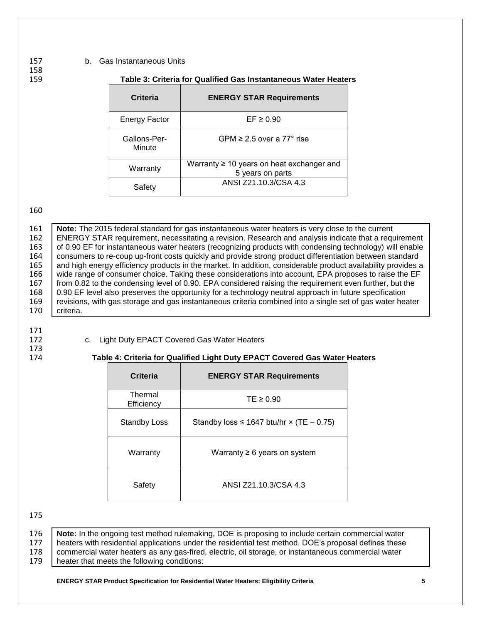#### 157 b. Gas Instantaneous Units

158<br>159

#### 159 **Table 3: Criteria for Qualified Gas Instantaneous Water Heaters**

| Criteria               | <b>ENERGY STAR Requirements</b>                                    |
|------------------------|--------------------------------------------------------------------|
| Energy Factor          | $EF \geq 0.90$                                                     |
| Gallons-Per-<br>Minute | GPM $\geq$ 2.5 over a 77° rise                                     |
| Warranty               | Warranty $\geq 10$ years on heat exchanger and<br>5 years on parts |
| Safety                 | ANSI Z21.10.3/CSA 4.3                                              |

#### 160

161 **Note:** The 2015 federal standard for gas instantaneous water heaters is very close to the current 162 ENERGY STAR requirement, necessitating a revision. Research and analysis indicate that a requ 162 ENERGY STAR requirement, necessitating a revision. Research and analysis indicate that a requirement 163 of 0.90 EF for instantaneous water heaters (recognizing products with condensing technology) will enable 163 of 0.90 EF for instantaneous water heaters (recognizing products with condensing technology) will enable<br>164 consumers to re-coup up-front costs quickly and provide strong product differentiation between standard 164 consumers to re-coup up-front costs quickly and provide strong product differentiation between standard<br>165 and high energy efficiency products in the market. In addition, considerable product availability provides 165 and high energy efficiency products in the market. In addition, considerable product availability provides a<br>166 wide range of consumer choice. Taking these considerations into account, EPA proposes to raise the EF wide range of consumer choice. Taking these considerations into account, EPA proposes to raise the EF<br>167 from 0.82 to the condensing level of 0.90. EPA considered raising the requirement even further, but the 167 from 0.82 to the condensing level of 0.90. EPA considered raising the requirement even further, but the 168<br>168 0.90 EF level also preserves the opportunity for a technology neutral approach in future specification 0.90 EF level also preserves the opportunity for a technology neutral approach in future specification 169 revisions, with gas storage and gas instantaneous criteria combined into a single set of gas water heater 170 criteria.

- 
- 171<br>172 173
- c. Light Duty EPACT Covered Gas Water Heaters

#### 174 **Table 4: Criteria for Qualified Light Duty EPACT Covered Gas Water Heaters**

| Criteria              | <b>ENERGY STAR Requirements</b>                        |  |
|-----------------------|--------------------------------------------------------|--|
| Thermal<br>Efficiency | $TE \geq 0.90$                                         |  |
| Standby Loss          | Standby loss $\leq$ 1647 btu/hr $\times$ (TE $-$ 0.75) |  |
| Warranty              | Warranty $\geq 6$ years on system                      |  |
| Safety                | ANSI Z21.10.3/CSA 4.3                                  |  |

175

176 **Note:** In the ongoing test method rulemaking, DOE is proposing to include certain commercial water 177 heaters with residential applications under the residential test method. DOE's proposal defines these<br>178 commercial water heaters as any gas-fired, electric, oil storage, or instantaneous commercial water 178 Commercial water heaters as any gas-fired, electric, oil storage, or instantaneous commercial water<br>179 Lheater that meets the following conditions: heater that meets the following conditions: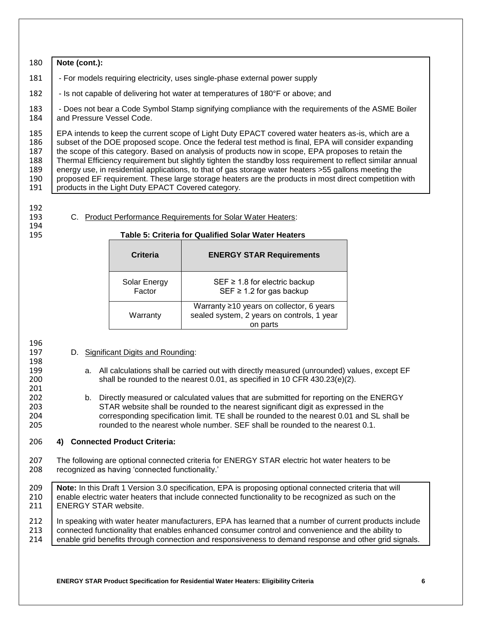## 180 **Note (cont.):** 181 - For models requiring electricity, uses single-phase external power supply 182 | - Is not capable of delivering hot water at temperatures of 180°F or above; and 183 - Does not bear a Code Symbol Stamp signifying compliance with the requirements of the ASME Boiler<br>184 and Pressure Vessel Code. and Pressure Vessel Code. 185 EPA intends to keep the current scope of Light Duty EPACT covered water heaters as-is, which are a 186 Subset of the DOE proposed scope. Once the federal test method is final, EPA will consider expanding 187 the scope of this category. Based on analysis of products now in scope, EPA proposes to retain the 188 Thermal Efficiency requirement but slightly tighten the standby loss requirement to reflect similar and 188 Thermal Efficiency requirement but slightly tighten the standby loss requirement to reflect similar annual<br>189 energy use, in residential applications, to that of gas storage water heaters >55 gallons meeting the 189 energy use, in residential applications, to that of gas storage water heaters >55 gallons meeting the

190 proposed EF requirement. These large storage heaters are the products in most direct competition with 191 products in the Light Duty EPACT Covered category.

- 192<br>193
- C. Product Performance Requirements for Solar Water Heaters:

products in the Light Duty EPACT Covered category.

## 194

### 195 **Table 5: Criteria for Qualified Solar Water Heaters**

| Criteria               | <b>ENERGY STAR Requirements</b>                                                                       |
|------------------------|-------------------------------------------------------------------------------------------------------|
| Solar Energy<br>Factor | SEF $\geq$ 1.8 for electric backup<br>SEF $\geq$ 1.2 for gas backup                                   |
| Warranty               | Warranty $\geq 10$ years on collector, 6 years<br>sealed system, 2 years on controls, 1 year<br>parts |

# 196<br>197

198

201<br>202

- D. Significant Digits and Rounding:
- 199 a. All calculations shall be carried out with directly measured (unrounded) values, except EF  $200$ <br>200 shall be rounded to the nearest 0.01, as specified in 10 CFR 430.23(e)(2). shall be rounded to the nearest  $0.01$ , as specified in 10 CFR  $430.23(e)(2)$ .
- 202 b. Directly measured or calculated values that are submitted for reporting on the ENERGY<br>203 STAR website shall be rounded to the nearest significant digit as expressed in the 203 STAR website shall be rounded to the nearest significant digit as expressed in the<br>204 corresponding specification limit. TE shall be rounded to the nearest 0.01 and SL s corresponding specification limit. TE shall be rounded to the nearest 0.01 and SL shall be 205 rounded to the nearest whole number. SEF shall be rounded to the nearest 0.1.

### 206 **4) Connected Product Criteria:**

- 207 The following are optional connected criteria for ENERGY STAR electric hot water heaters to be<br>208 Fecognized as having 'connected functionality.' recognized as having 'connected functionality.'
- 209 **Note:** In this Draft 1 Version 3.0 specification, EPA is proposing optional connected criteria that will 210 enable electric water heaters that include connected functionality to be recognized as such on the 211 ENERGY STAR website. ENERGY STAR website.
- 212 | In speaking with water heater manufacturers, EPA has learned that a number of current products include 213 connected functionality that enables enhanced consumer control and convenience and the ability to<br>214 enable grid benefits through connection and responsiveness to demand response and other grid sig enable grid benefits through connection and responsiveness to demand response and other grid signals.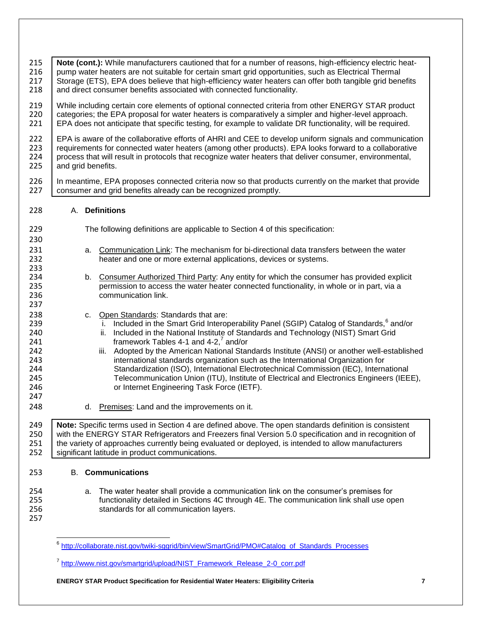| 215                                                                | Note (cont.): While manufacturers cautioned that for a number of reasons, high-efficiency electric heat-                                                                                                                                                                                                                                                                                                                                                                                                                                                                                                                                                                                                            |
|--------------------------------------------------------------------|---------------------------------------------------------------------------------------------------------------------------------------------------------------------------------------------------------------------------------------------------------------------------------------------------------------------------------------------------------------------------------------------------------------------------------------------------------------------------------------------------------------------------------------------------------------------------------------------------------------------------------------------------------------------------------------------------------------------|
| 216                                                                | pump water heaters are not suitable for certain smart grid opportunities, such as Electrical Thermal                                                                                                                                                                                                                                                                                                                                                                                                                                                                                                                                                                                                                |
| 217                                                                | Storage (ETS), EPA does believe that high-efficiency water heaters can offer both tangible grid benefits                                                                                                                                                                                                                                                                                                                                                                                                                                                                                                                                                                                                            |
| 218                                                                | and direct consumer benefits associated with connected functionality.                                                                                                                                                                                                                                                                                                                                                                                                                                                                                                                                                                                                                                               |
| 219                                                                | While including certain core elements of optional connected criteria from other ENERGY STAR product                                                                                                                                                                                                                                                                                                                                                                                                                                                                                                                                                                                                                 |
| 220                                                                | categories; the EPA proposal for water heaters is comparatively a simpler and higher-level approach.                                                                                                                                                                                                                                                                                                                                                                                                                                                                                                                                                                                                                |
| 221                                                                | EPA does not anticipate that specific testing, for example to validate DR functionality, will be required.                                                                                                                                                                                                                                                                                                                                                                                                                                                                                                                                                                                                          |
| 222                                                                | EPA is aware of the collaborative efforts of AHRI and CEE to develop uniform signals and communication                                                                                                                                                                                                                                                                                                                                                                                                                                                                                                                                                                                                              |
| 223                                                                | requirements for connected water heaters (among other products). EPA looks forward to a collaborative                                                                                                                                                                                                                                                                                                                                                                                                                                                                                                                                                                                                               |
| 224                                                                | process that will result in protocols that recognize water heaters that deliver consumer, environmental,                                                                                                                                                                                                                                                                                                                                                                                                                                                                                                                                                                                                            |
| 225                                                                | and grid benefits.                                                                                                                                                                                                                                                                                                                                                                                                                                                                                                                                                                                                                                                                                                  |
| 226                                                                | In meantime, EPA proposes connected criteria now so that products currently on the market that provide                                                                                                                                                                                                                                                                                                                                                                                                                                                                                                                                                                                                              |
| 227                                                                | consumer and grid benefits already can be recognized promptly.                                                                                                                                                                                                                                                                                                                                                                                                                                                                                                                                                                                                                                                      |
| 228                                                                | A. Definitions                                                                                                                                                                                                                                                                                                                                                                                                                                                                                                                                                                                                                                                                                                      |
| 229<br>230                                                         | The following definitions are applicable to Section 4 of this specification:                                                                                                                                                                                                                                                                                                                                                                                                                                                                                                                                                                                                                                        |
| 231                                                                | Communication Link: The mechanism for bi-directional data transfers between the water                                                                                                                                                                                                                                                                                                                                                                                                                                                                                                                                                                                                                               |
| 232                                                                | a.                                                                                                                                                                                                                                                                                                                                                                                                                                                                                                                                                                                                                                                                                                                  |
| 233                                                                | heater and one or more external applications, devices or systems.                                                                                                                                                                                                                                                                                                                                                                                                                                                                                                                                                                                                                                                   |
| 234<br>235<br>236<br>237                                           | b. Consumer Authorized Third Party: Any entity for which the consumer has provided explicit<br>permission to access the water heater connected functionality, in whole or in part, via a<br>communication link.                                                                                                                                                                                                                                                                                                                                                                                                                                                                                                     |
| 238<br>239<br>240<br>241<br>242<br>243<br>244<br>245<br>246<br>247 | Open Standards: Standards that are:<br>C.<br>Included in the Smart Grid Interoperability Panel (SGIP) Catalog of Standards, <sup>6</sup> and/or<br>Ĺ.<br>Included in the National Institute of Standards and Technology (NIST) Smart Grid<br>ii.<br>framework Tables 4-1 and 4-2, $^7$ and/or<br>iii. Adopted by the American National Standards Institute (ANSI) or another well-established<br>international standards organization such as the International Organization for<br>Standardization (ISO), International Electrotechnical Commission (IEC), International<br>Telecommunication Union (ITU), Institute of Electrical and Electronics Engineers (IEEE),<br>or Internet Engineering Task Force (IETF). |
| 248                                                                | d. Premises: Land and the improvements on it.                                                                                                                                                                                                                                                                                                                                                                                                                                                                                                                                                                                                                                                                       |
| 249                                                                | Note: Specific terms used in Section 4 are defined above. The open standards definition is consistent                                                                                                                                                                                                                                                                                                                                                                                                                                                                                                                                                                                                               |
| 250                                                                | with the ENERGY STAR Refrigerators and Freezers final Version 5.0 specification and in recognition of                                                                                                                                                                                                                                                                                                                                                                                                                                                                                                                                                                                                               |
| 251                                                                | the variety of approaches currently being evaluated or deployed, is intended to allow manufacturers                                                                                                                                                                                                                                                                                                                                                                                                                                                                                                                                                                                                                 |
| 252                                                                | significant latitude in product communications.                                                                                                                                                                                                                                                                                                                                                                                                                                                                                                                                                                                                                                                                     |
| 253                                                                | <b>Communications</b><br>В.                                                                                                                                                                                                                                                                                                                                                                                                                                                                                                                                                                                                                                                                                         |
| 254                                                                | The water heater shall provide a communication link on the consumer's premises for                                                                                                                                                                                                                                                                                                                                                                                                                                                                                                                                                                                                                                  |
| 255                                                                | a.                                                                                                                                                                                                                                                                                                                                                                                                                                                                                                                                                                                                                                                                                                                  |
| 256                                                                | functionality detailed in Sections 4C through 4E. The communication link shall use open                                                                                                                                                                                                                                                                                                                                                                                                                                                                                                                                                                                                                             |
| 257                                                                | standards for all communication layers.                                                                                                                                                                                                                                                                                                                                                                                                                                                                                                                                                                                                                                                                             |

e<br>[http://collaborate.nist.gov/twiki-sggrid/bin/view/SmartGrid/PMO#Catalog\\_of\\_Standards\\_Processes](http://collaborate.nist.gov/twiki-sggrid/bin/view/SmartGrid/PMO#Catalog_of_Standards_Processes)<sup>6</sup><br>-

<sup>&</sup>lt;sup>7</sup> [http://www.nist.gov/smartgrid/upload/NIST\\_Framework\\_Release\\_2-0\\_corr.pdf](http://www.nist.gov/smartgrid/upload/NIST_Framework_Release_2-0_corr.pdf)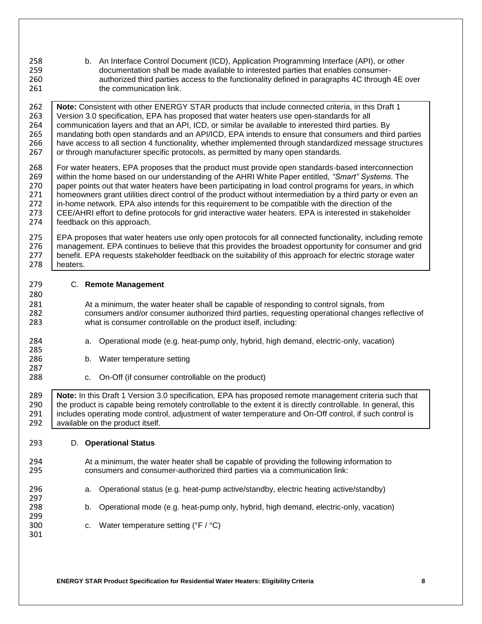| 258                                                                | b. An Interface Control Document (ICD), Application Programming Interface (API), or other                                                                                                                                                                                                                                                                                                                                                                                     |
|--------------------------------------------------------------------|-------------------------------------------------------------------------------------------------------------------------------------------------------------------------------------------------------------------------------------------------------------------------------------------------------------------------------------------------------------------------------------------------------------------------------------------------------------------------------|
| 259                                                                | documentation shall be made available to interested parties that enables consumer-                                                                                                                                                                                                                                                                                                                                                                                            |
| 260                                                                | authorized third parties access to the functionality defined in paragraphs 4C through 4E over                                                                                                                                                                                                                                                                                                                                                                                 |
| 261                                                                | the communication link.                                                                                                                                                                                                                                                                                                                                                                                                                                                       |
| 262                                                                | Note: Consistent with other ENERGY STAR products that include connected criteria, in this Draft 1                                                                                                                                                                                                                                                                                                                                                                             |
| 263                                                                | Version 3.0 specification, EPA has proposed that water heaters use open-standards for all                                                                                                                                                                                                                                                                                                                                                                                     |
| 264                                                                | communication layers and that an API, ICD, or similar be available to interested third parties. By                                                                                                                                                                                                                                                                                                                                                                            |
| 265                                                                | mandating both open standards and an API/ICD, EPA intends to ensure that consumers and third parties                                                                                                                                                                                                                                                                                                                                                                          |
| 266                                                                | have access to all section 4 functionality, whether implemented through standardized message structures                                                                                                                                                                                                                                                                                                                                                                       |
| 267                                                                | or through manufacturer specific protocols, as permitted by many open standards.                                                                                                                                                                                                                                                                                                                                                                                              |
| 268                                                                | For water heaters, EPA proposes that the product must provide open standards-based interconnection                                                                                                                                                                                                                                                                                                                                                                            |
| 269                                                                | within the home based on our understanding of the AHRI White Paper entitled, "Smart" Systems. The                                                                                                                                                                                                                                                                                                                                                                             |
| 270                                                                | paper points out that water heaters have been participating in load control programs for years, in which                                                                                                                                                                                                                                                                                                                                                                      |
| 271                                                                | homeowners grant utilities direct control of the product without intermediation by a third party or even an                                                                                                                                                                                                                                                                                                                                                                   |
| 272                                                                | in-home network. EPA also intends for this requirement to be compatible with the direction of the                                                                                                                                                                                                                                                                                                                                                                             |
| 273                                                                | CEE/AHRI effort to define protocols for grid interactive water heaters. EPA is interested in stakeholder                                                                                                                                                                                                                                                                                                                                                                      |
| 274                                                                | feedback on this approach.                                                                                                                                                                                                                                                                                                                                                                                                                                                    |
| 275                                                                | EPA proposes that water heaters use only open protocols for all connected functionality, including remote                                                                                                                                                                                                                                                                                                                                                                     |
| 276                                                                | management. EPA continues to believe that this provides the broadest opportunity for consumer and grid                                                                                                                                                                                                                                                                                                                                                                        |
| 277                                                                | benefit. EPA requests stakeholder feedback on the suitability of this approach for electric storage water                                                                                                                                                                                                                                                                                                                                                                     |
| 278                                                                | heaters.                                                                                                                                                                                                                                                                                                                                                                                                                                                                      |
| 279<br>280<br>281<br>282<br>283<br>284<br>285<br>286<br>287<br>288 | C. Remote Management<br>At a minimum, the water heater shall be capable of responding to control signals, from<br>consumers and/or consumer authorized third parties, requesting operational changes reflective of<br>what is consumer controllable on the product itself, including:<br>Operational mode (e.g. heat-pump only, hybrid, high demand, electric-only, vacation)<br>a.<br>Water temperature setting<br>b.<br>c. On-Off (if consumer controllable on the product) |
| 289                                                                | Note: In this Draft 1 Version 3.0 specification, EPA has proposed remote management criteria such that                                                                                                                                                                                                                                                                                                                                                                        |
| 290                                                                | the product is capable being remotely controllable to the extent it is directly controllable. In general, this                                                                                                                                                                                                                                                                                                                                                                |
| 291                                                                | includes operating mode control, adjustment of water temperature and On-Off control, if such control is                                                                                                                                                                                                                                                                                                                                                                       |
| 292                                                                | available on the product itself.                                                                                                                                                                                                                                                                                                                                                                                                                                              |
| 293                                                                | <b>Operational Status</b><br>D.                                                                                                                                                                                                                                                                                                                                                                                                                                               |
| 294                                                                | At a minimum, the water heater shall be capable of providing the following information to                                                                                                                                                                                                                                                                                                                                                                                     |
| 295                                                                | consumers and consumer-authorized third parties via a communication link:                                                                                                                                                                                                                                                                                                                                                                                                     |
| 296                                                                | Operational status (e.g. heat-pump active/standby, electric heating active/standby)                                                                                                                                                                                                                                                                                                                                                                                           |
| 297                                                                | a.                                                                                                                                                                                                                                                                                                                                                                                                                                                                            |
| 298                                                                | Operational mode (e.g. heat-pump only, hybrid, high demand, electric-only, vacation)                                                                                                                                                                                                                                                                                                                                                                                          |
| 299                                                                | b.                                                                                                                                                                                                                                                                                                                                                                                                                                                                            |
| 300                                                                | Water temperature setting (°F / °C)                                                                                                                                                                                                                                                                                                                                                                                                                                           |
| 301                                                                | с.                                                                                                                                                                                                                                                                                                                                                                                                                                                                            |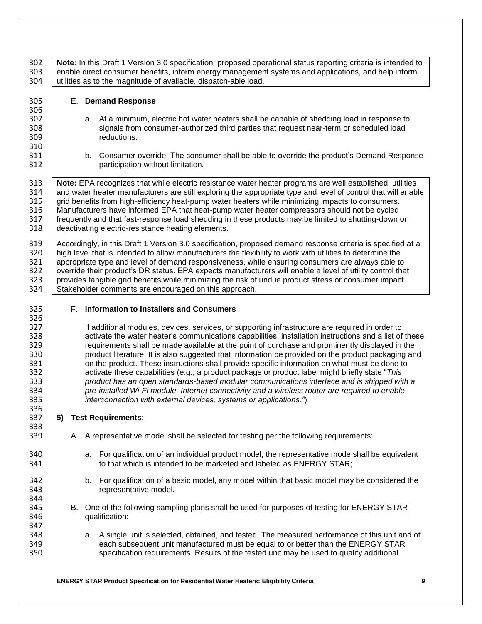302 **Note:** In this Draft 1 Version 3.0 specification, proposed operational status reporting criteria is intended to enable direct consumer benefits, inform energy management systems and applications, and help inform 304 utilities as to the magnitude of available, dispatch-able load. 305 E. **Demand Response** 306<br>307 a. At a minimum, electric hot water heaters shall be capable of shedding load in response to 308 signals from consumer-authorized third parties that request near-term or scheduled load 309 reductions. 310<br>311 311 b. Consumer override: The consumer shall be able to override the product's Demand Response<br>312 **burban and response** participation without limitation. participation without limitation. 313 **Note:** EPA recognizes that while electric resistance water heater programs are well established, utilities 314 and water heater manufacturers are still exploring the appropriate type and level of control that will enable 315 grid benefits from high-efficiency heat-pump water heaters while minimizing impacts to consumers. 316 Manufacturers have informed EPA that heat-pump water heater compressors should not be cycled<br>317 frequently and that fast-response load shedding in these products may be limited to shutting-down o 317 frequently and that fast-response load shedding in these products may be limited to shutting-down or 318 deactivating electric-resistance heating elements. deactivating electric-resistance heating elements. 319 Accordingly, in this Draft 1 Version 3.0 specification, proposed demand response criteria is specified at a<br>320 I high level that is intended to allow manufacturers the flexibility to work with utilities to determine t 320 high level that is intended to allow manufacturers the flexibility to work with utilities to determine the<br>321 appropriate type and level of demand responsiveness, while ensuring consumers are always able to 321 appropriate type and level of demand responsiveness, while ensuring consumers are always able to 322 override their product's DR status. FPA expects manufacturers will enable a level of utility control that 322 override their product's DR status. EPA expects manufacturers will enable a level of utility control that<br>323 orovides tangible grid benefits while minimizing the risk of undue product stress or consumer impact. provides tangible grid benefits while minimizing the risk of undue product stress or consumer impact. 324 Stakeholder comments are encouraged on this approach. 325 F. **Information to Installers and Consumers** 326 327 If additional modules, devices, services, or supporting infrastructure are required in order to 328 activate the water heater's communications capabilities, installation instructions and a list of these 329 requirements shall be made available at the point of purchase and prominently displayed in the<br>330 represent iterature It is also suggested that information be provided on the product packaging an 330 product literature. It is also suggested that information be provided on the product packaging and<br>331 on the product. These instructions shall provide specific information on what must be done to 331 on the product. These instructions shall provide specific information on what must be done to<br>332 activate these capabilities (e.g., a product package or product label might briefly state "This 332 activate these capabilities (e.g., a product package or product label might briefly state "*This*  333 *product has an open standards-based modular communications interface and is shipped with a*  334 *pre-installed Wi-Fi module. Internet connectivity and a wireless router are required to enable*  interconnection with external devices, systems or applications.") 336 337 **5) Test Requirements:** 338<br>339 A. A representative model shall be selected for testing per the following requirements: 340 a. For qualification of an individual product model, the representative mode shall be equivalent 341 be to that which is intended to be marketed and labeled as ENERGY STAR: to that which is intended to be marketed and labeled as ENERGY STAR; 342 b. For qualification of a basic model, any model within that basic model may be considered the representative model. 344<br>345 345 B. One of the following sampling plans shall be used for purposes of testing for ENERGY STAR<br>346 **Starburn** qualification: qualification: 347<br>348 348 a. A single unit is selected, obtained, and tested. The measured performance of this unit and of 349 349 each subsequent unit manufactured must be equal to or better than the ENERGY STAR<br>350 specification requirements. Results of the tested unit may be used to qualify additional specification requirements. Results of the tested unit may be used to qualify additional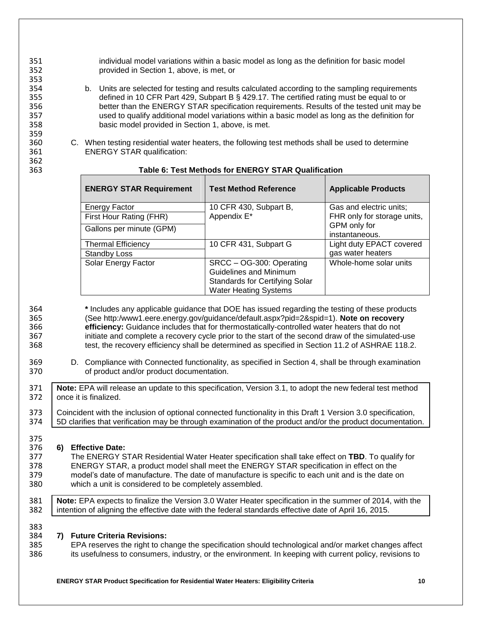353<br>354 b. Units are selected for testing and results calculated according to the sampling requirements defined in 10 CFR Part 429, Subpart B § 429.17. The certified rating must be equal to or<br>356 better than the ENERGY STAR specification requirements. Results of the tested unit may 356 better than the ENERGY STAR specification requirements. Results of the tested unit may be<br>357 seed to qualify additional model variations within a basic model as long as the definition for 357 used to qualify additional model variations within a basic model as long as the definition for basic model provided in Section 1, above, is met. 359<br>360 C. When testing residential water heaters, the following test methods shall be used to determine 361 ENERGY STAR qualification: 362<br>363 363 **Table 6: Test Methods for ENERGY STAR Qualification ENERGY STAR Requirement Test Method Reference Applicable Products** Energy Factor 10 CFR 430, Subpart B, Appendix E\* Gas and electric units; FHR only for storage units, GPM only for instantaneous. First Hour Rating (FHR) Gallons per minute (GPM) Thermal Efficiency 10 CFR 431, Subpart G Light duty EPACT covered Standby Loss and the standby Loss gas water heaters in the standby Loss gas water heaters in the standard gas water heaters Solar Energy Factor | SRCC – OG-300: Operating Guidelines and Minimum Standards for Certifying Solar Water Heating Systems Whole-home solar units 364 **\*** Includes any applicable guidance that DOE has issued regarding the testing of these products 365 (See http:/www1.eere.energy.gov/guidance/default.aspx?pid=2&spid=1). **Note on recovery**  366 **efficiency:** Guidance includes that for thermostatically-controlled water heaters that do not 367 initiate and complete a recovery cycle prior to the start of the second draw of the simulated-use 368 test, the recovery efficiency shall be determined as specified in Section 11.2 of ASHRAE 118.2. 369 D. Compliance with Connected functionality, as specified in Section 4, shall be through examination of product and/or product documentation. of product and/or product documentation. 371 **Note:** EPA will release an update to this specification, Version 3.1, to adopt the new federal test method 372 once it is finalized. 373 Coincident with the inclusion of optional connected functionality in this Draft 1 Version 3.0 specification,<br>374 5D clarifies that verification may be through examination of the product and/or the product documentation 5D clarifies that verification may be through examination of the product and/or the product documentation. 375<br>376 376 **6) Effective Date:** 377 The ENERGY STAR Residential Water Heater specification shall take effect on **TBD**. To qualify for 378 ENERGY STAR, a product model shall meet the ENERGY STAR specification in effect on the model's date of manufacture. The date of manufacture is specific to each unit and is the date on 380 which a unit is considered to be completely assembled. 381 **Note:** EPA expects to finalize the Version 3.0 Water Heater specification in the summer of 2014, with the 382 intention of aligning the effective date with the federal standards effective date of April 16, 2015. 383<br>384

351 individual model variations within a basic model as long as the definition for basic model

352 provided in Section 1, above, is met, or

384 **7) Future Criteria Revisions:** 

385 EPA reserves the right to change the specification should technological and/or market changes affect its usefulness to consumers, industry, or the environment. In keeping with current policy, revisions to